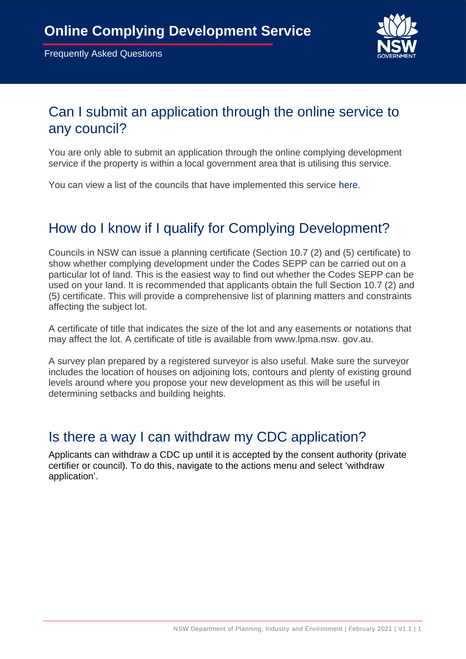

## Can I submit an application through the online service to any council?

You are only able to submit an application through the online complying development service if the property is within a local government area that is utilising this service.

You can view a list of the councils that have implemented this service [here.](https://www.planningportal.nsw.gov.au/onlinecdc)

# How do I know if I qualify for Complying Development?

Councils in NSW can issue a planning certificate (Section 10.7 (2) and (5) certificate) to show whether complying development under the Codes SEPP can be carried out on a particular lot of land. This is the easiest way to find out whether the Codes SEPP can be used on your land. It is recommended that applicants obtain the full Section 10.7 (2) and (5) certificate. This will provide a comprehensive list of planning matters and constraints affecting the subject lot.

A certificate of title that indicates the size of the lot and any easements or notations that may affect the lot. A certificate of title is available from www.lpma.nsw. gov.au.

A survey plan prepared by a registered surveyor is also useful. Make sure the surveyor includes the location of houses on adjoining lots, contours and plenty of existing ground levels around where you propose your new development as this will be useful in determining setbacks and building heights.

#### Is there a way I can withdraw my CDC application?

Applicants can withdraw a CDC up until it is accepted by the consent authority (private certifier or council). To do this, navigate to the actions menu and select 'withdraw application'.